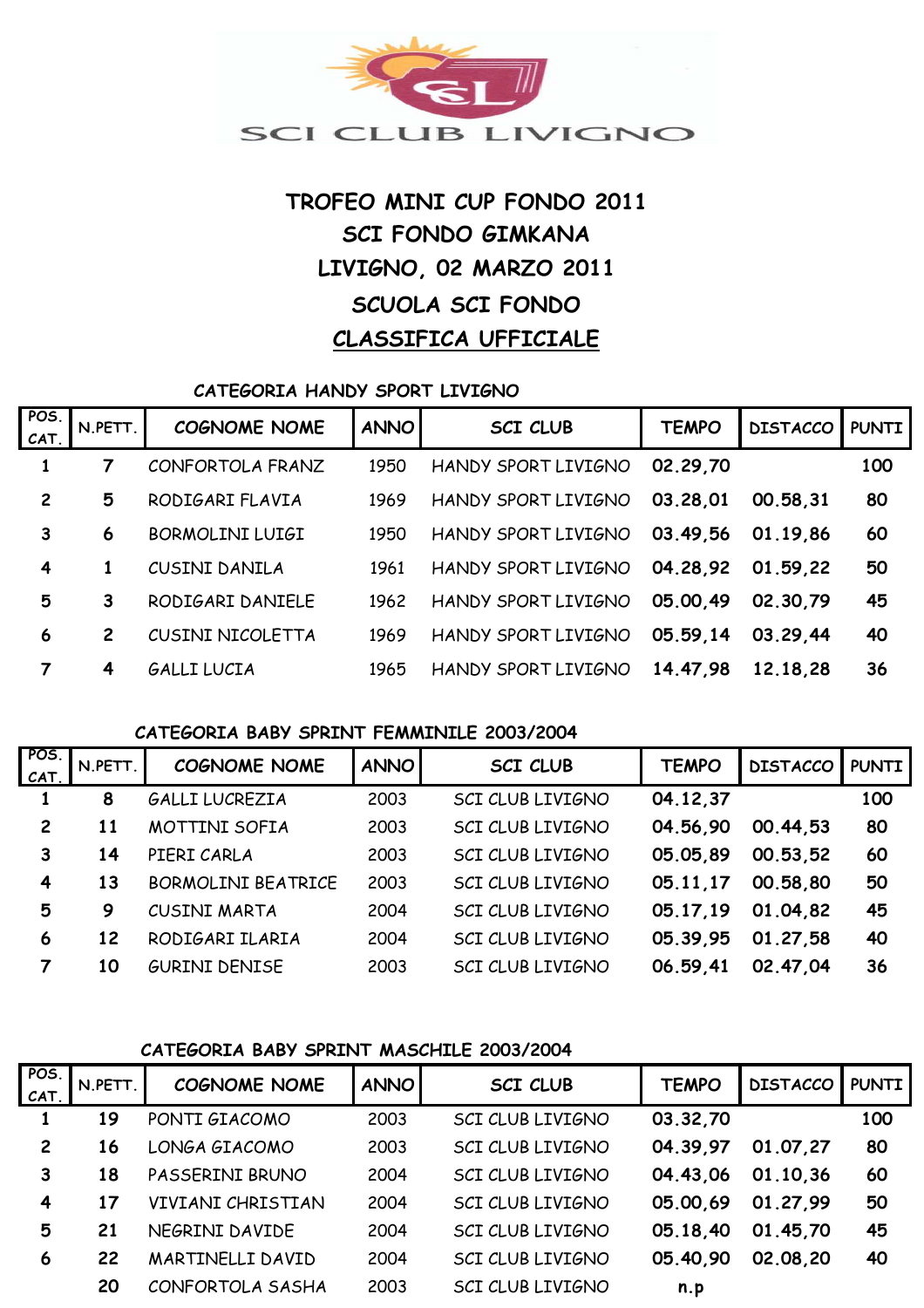

# **TROFEO MINI CUP FONDO 2011 SCI FONDO GIMKANA LIVIGNO, 02 MARZO 2011 SCUOLA SCI FONDO CLASSIFICA UFFICIALE**

**CATEGORIA HANDY SPORT LIVIGNO**

| POS.<br>CAT.   | N.PETT.        | <b>COGNOME NOME</b>    | <b>ANNO</b> | <b>SCI CLUB</b>     | <b>TEMPO</b> | <b>DISTACCO</b> | <b>PUNTI</b> |
|----------------|----------------|------------------------|-------------|---------------------|--------------|-----------------|--------------|
|                |                | CONFORTOLA FRANZ       | 1950        | HANDY SPORT LIVIGNO | 02.29.70     |                 | 100          |
| $\overline{c}$ | 5              | RODIGARI FLAVIA        | 1969        | HANDY SPORT LIVIGNO | 03.28,01     | 00.58.31        | 80           |
| 3              | 6              | <b>BORMOLINI LUIGI</b> | 1950        | HANDY SPORT LIVIGNO | 03.49.56     | 01.19.86        | 60           |
| 4              | 1              | CUSINI DANILA          | 1961        | HANDY SPORT LIVIGNO | 04.28,92     | 01.59.22        | 50           |
| 5              | 3              | RODIGARI DANIELE       | 1962        | HANDY SPORT LIVIGNO | 05.00.49     | 02.30.79        | 45           |
| 6              | $\overline{2}$ | CUSINI NICOLETTA       | 1969        | HANDY SPORT LIVIGNO | 05.59.14     | 03.29.44        | 40           |
|                | 4              | <b>GALLI LUCIA</b>     | 1965        | HANDY SPORT LIVIGNO | 14.47.98     | 12.18.28        | 36           |

#### **CATEGORIA BABY SPRINT FEMMINILE 2003/2004**

| POS.<br>CAT    | N.PETT. | <b>COGNOME NOME</b>       | <b>ANNO</b> | <b>SCI CLUB</b>         | <b>TEMPO</b> | <b>DISTACCO</b> | <b>PUNTI</b> |
|----------------|---------|---------------------------|-------------|-------------------------|--------------|-----------------|--------------|
|                | 8       | GALLI LUCREZIA            | 2003        | SCI CLUB LIVIGNO        | 04.12,37     |                 | 100          |
| $\overline{2}$ | 11      | MOTTINI SOFIA             | 2003        | <b>SCI CLUB LIVIGNO</b> | 04.56,90     | 00.44.53        | 80           |
| 3              | 14      | PIERI CARLA               | 2003        | <b>SCI CLUB LIVIGNO</b> | 05.05.89     | 00.53,52        | 60           |
| 4              | 13      | <b>BORMOLINI BEATRICE</b> | 2003        | SCI CLUB LIVIGNO        | 05.11.17     | 00.58,80        | 50           |
| 5              | 9       | <b>CUSINI MARTA</b>       | 2004        | SCI CLUB LIVIGNO        | 05.17.19     | 01.04.82        | 45           |
| 6              | 12      | RODIGARI ILARIA           | 2004        | SCI CLUB LIVIGNO        | 05.39.95     | 01.27,58        | 40           |
|                | 10      | <b>GURINI DENISE</b>      | 2003        | <b>SCI CLUB LIVIGNO</b> | 06.59.41     | 02.47.04        | 36           |

#### **CATEGORIA BABY SPRINT MASCHILE 2003/2004**

| POS. | N.PETT. | <b>COGNOME NOME</b> | <b>ANNO</b> | <b>SCI CLUB</b>         | <b>TEMPO</b> | <b>DISTACCO</b> | <b>PUNTI</b> |
|------|---------|---------------------|-------------|-------------------------|--------------|-----------------|--------------|
| CAT. |         |                     |             |                         |              |                 |              |
|      | 19      | PONTI GIACOMO       | 2003        | <b>SCI CLUB LIVIGNO</b> | 03.32,70     |                 | 100          |
| 2    | 16      | LONGA GIACOMO       | 2003        | SCI CLUB LIVIGNO        | 04.39.97     | 01.07,27        | 80           |
| 3    | 18      | PASSERINI BRUNO     | 2004        | SCI CLUB LIVIGNO        | 04.43.06     | 01.10,36        | 60           |
| 4    | 17      | VIVIANI CHRISTIAN   | 2004        | SCI CLUB LIVIGNO        | 05.00.69     | 01.27,99        | 50           |
| 5    | 21      | NEGRINI DAVIDE      | 2004        | <b>SCI CLUB LIVIGNO</b> | 05.18,40     | 01.45,70        | 45           |
| 6    | 22      | MARTINELLI DAVID    | 2004        | <b>SCI CLUB LIVIGNO</b> | 05.40.90     | 02.08.20        | 40           |
|      | 20      | CONFORTOLA SASHA    | 2003        | SCI CLUB LIVIGNO        | n.p          |                 |              |
|      |         |                     |             |                         |              |                 |              |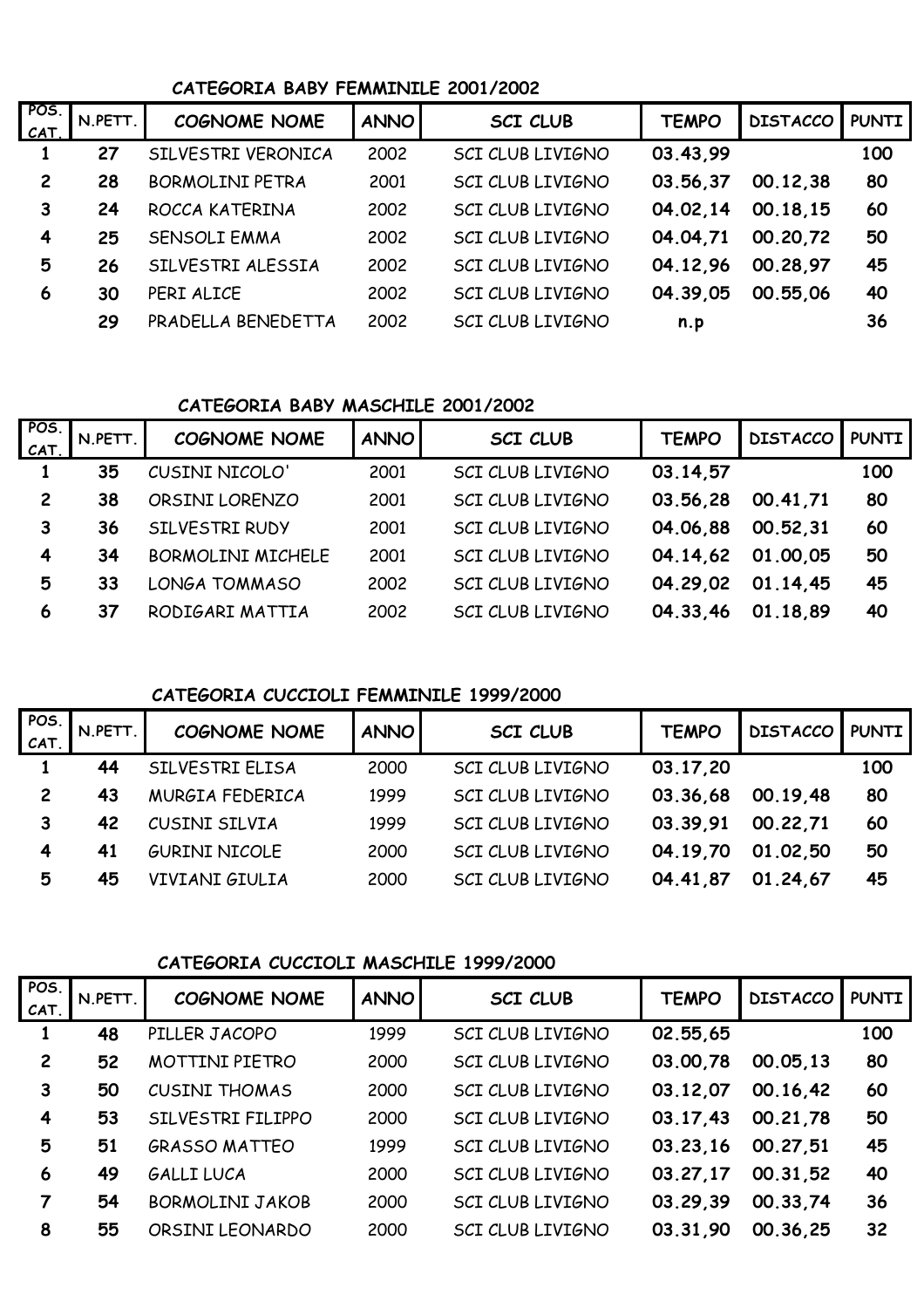### **CATEGORIA BABY FEMMINILE 2001/2002**

| POS.<br>CAT.   | N.PETT. | <b>COGNOME NOME</b>    | <b>ANNO</b> | <b>SCI CLUB</b>         | <b>TEMPO</b> | <b>DISTACCO</b> | <b>PUNTI</b> |
|----------------|---------|------------------------|-------------|-------------------------|--------------|-----------------|--------------|
|                | 27      | SILVESTRI VERONICA     | 2002        | SCI CLUB LIVIGNO        | 03.43.99     |                 | 100          |
| $\overline{2}$ | 28      | <b>BORMOLINI PETRA</b> | 2001        | <b>SCI CLUB LIVIGNO</b> | 03.56.37     | 00.12,38        | 80           |
| 3              | 24      | ROCCA KATERINA         | 2002        | <b>SCI CLUB LIVIGNO</b> | 04.02.14     | 00.18.15        | 60           |
| 4              | 25      | <b>SENSOLI EMMA</b>    | 2002        | <b>SCI CLUB LIVIGNO</b> | 04.04.71     | 00.20,72        | 50           |
| 5              | 26      | SILVESTRI ALESSIA      | 2002        | SCI CLUB LIVIGNO        | 04.12.96     | 00.28.97        | 45           |
| 6              | 30      | PERI ALICE             | 2002        | <b>SCI CLUB LIVIGNO</b> | 04.39.05     | 00.55.06        | 40           |
|                | 29      | PRADELLA BENEDETTA     | 2002        | SCI CLUB LIVIGNO        | n.p          |                 | 36           |

# **CATEGORIA BABY MASCHILE 2001/2002**

| POS.<br><b>CAT</b> | N.PETT. | <b>COGNOME NOME</b>      | <b>ANNO</b> | <b>SCI CLUB</b>         | <b>TEMPO</b> | <b>DISTACCO</b> | <b>PUNTI</b> |
|--------------------|---------|--------------------------|-------------|-------------------------|--------------|-----------------|--------------|
|                    | 35      | <b>CUSINI NICOLO'</b>    | 2001        | <b>SCI CLUB LIVIGNO</b> | 03.14,57     |                 | 100          |
| $\overline{c}$     | 38      | ORSINI LORENZO           | 2001        | <b>SCI CLUB LIVIGNO</b> | 03.56.28     | 00.41,71        | 80           |
| 3                  | 36      | SILVESTRI RUDY           | 2001        | <b>SCI CLUB LIVIGNO</b> | 04.06.88     | 00.52,31        | 60           |
| 4                  | 34      | <b>BORMOLINI MICHELE</b> | 2001        | <b>SCI CLUB LIVIGNO</b> | 04.14.62     | 01.00.05        | 50           |
| 5                  | 33      | <b>LONGA TOMMASO</b>     | 2002        | <b>SCI CLUB LIVIGNO</b> | 04.29.02     | 01.14.45        | 45           |
| 6                  | 37      | RODIGARI MATTIA          | 2002        | <b>SCI CLUB LIVIGNO</b> | 04.33.46     | 01.18.89        | 40           |

#### **CATEGORIA CUCCIOLI FEMMINILE 1999/2000**

| POS<br>CAT. | N.PETT | <b>COGNOME NOME</b>  | <b>ANNO</b> | <b>SCI CLUB</b>         | <b>TEMPO</b> | DISTACCO   PUNTI |     |
|-------------|--------|----------------------|-------------|-------------------------|--------------|------------------|-----|
|             | 44     | SILVESTRI ELISA      | 2000        | SCI CLUB LIVIGNO        | 03.17,20     |                  | 100 |
|             | 43     | MURGIA FEDERICA      | 1999        | <b>SCI CLUB LIVIGNO</b> | 03.36.68     | 00.19.48         | 80  |
|             | 42     | CUSINI SILVIA        | 1999        | SCI CLUB LIVIGNO        | 03.39.91     | 00.22,71         | 60  |
| 4           | 41     | <b>GURINI NICOLE</b> | 2000        | <b>SCI CLUB LIVIGNO</b> | 04.19,70     | 01.02,50         | 50  |
| 5           | 45     | VIVIANI GIULIA       | 2000        | SCI CLUB LIVIGNO        | 04.41,87     | 01.24.67         | 45  |

# **CATEGORIA CUCCIOLI MASCHILE 1999/2000**

| POS.<br>CAT    | N.PETT. | <b>COGNOME NOME</b>    | <b>ANNO</b> | <b>SCI CLUB</b>  | <b>TEMPO</b> | <b>DISTACCO</b> | <b>PUNTI</b> |
|----------------|---------|------------------------|-------------|------------------|--------------|-----------------|--------------|
|                | 48      | PILLER JACOPO          | 1999        | SCI CLUB LIVIGNO | 02.55.65     |                 | 100          |
| $\overline{2}$ | 52      | <b>MOTTINI PIETRO</b>  | 2000        | SCI CLUB LIVIGNO | 03.00.78     | 00.05,13        | 80           |
| 3              | 50      | <b>CUSINI THOMAS</b>   | 2000        | SCI CLUB LIVIGNO | 03.12.07     | 00.16.42        | 60           |
| 4              | 53      | SILVESTRI FILIPPO      | 2000        | SCI CLUB LIVIGNO | 03.17.43     | 00.21,78        | 50           |
| 5              | 51      | <b>GRASSO MATTEO</b>   | 1999        | SCI CLUB LIVIGNO | 03.23.16     | 00.27,51        | 45           |
| 6              | 49      | <b>GALLI LUCA</b>      | 2000        | SCI CLUB LIVIGNO | 03.27.17     | 00.31,52        | 40           |
| 7              | 54      | <b>BORMOLINI JAKOB</b> | 2000        | SCI CLUB LIVIGNO | 03.29.39     | 00.33,74        | 36           |
| 8              | 55      | ORSINI LEONARDO        | 2000        | SCI CLUB LIVIGNO | 03.31,90     | 00.36,25        | 32           |